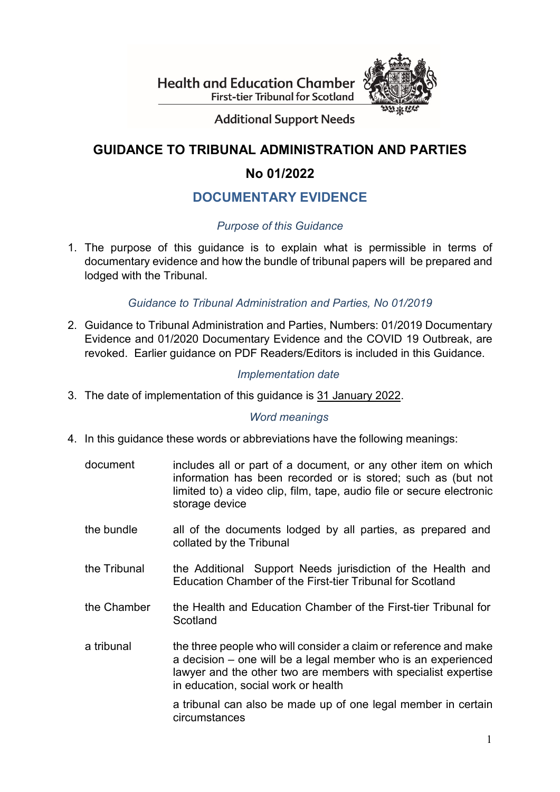**Health and Education Chamber First-tier Tribunal for Scotland** 



**Additional Support Needs** 

### **GUIDANCE TO TRIBUNAL ADMINISTRATION AND PARTIES**

## **No 01/2022**

## **DOCUMENTARY EVIDENCE**

#### *Purpose of this Guidance*

1. The purpose of this guidance is to explain what is permissible in terms of documentary evidence and how the bundle of tribunal papers will be prepared and lodged with the Tribunal.

#### *Guidance to Tribunal Administration and Parties, No 01/2019*

2. Guidance to Tribunal Administration and Parties, Numbers: 01/2019 Documentary Evidence and 01/2020 Documentary Evidence and the COVID 19 Outbreak, are revoked. Earlier guidance on PDF Readers/Editors is included in this Guidance.

#### *Implementation date*

3. The date of implementation of this guidance is 31 January 2022.

#### *Word meanings*

- 4. In this guidance these words or abbreviations have the following meanings:
	- document includes all or part of a document, or any other item on which information has been recorded or is stored; such as (but not limited to) a video clip, film, tape, audio file or secure electronic storage device
	- the bundle all of the documents lodged by all parties, as prepared and collated by the Tribunal
	- the Tribunal the Additional Support Needs jurisdiction of the Health and Education Chamber of the First-tier Tribunal for Scotland
	- the Chamber the Health and Education Chamber of the First-tier Tribunal for Scotland
	- a tribunal the three people who will consider a claim or reference and make a decision – one will be a legal member who is an experienced lawyer and the other two are members with specialist expertise in education, social work or health

a tribunal can also be made up of one legal member in certain circumstances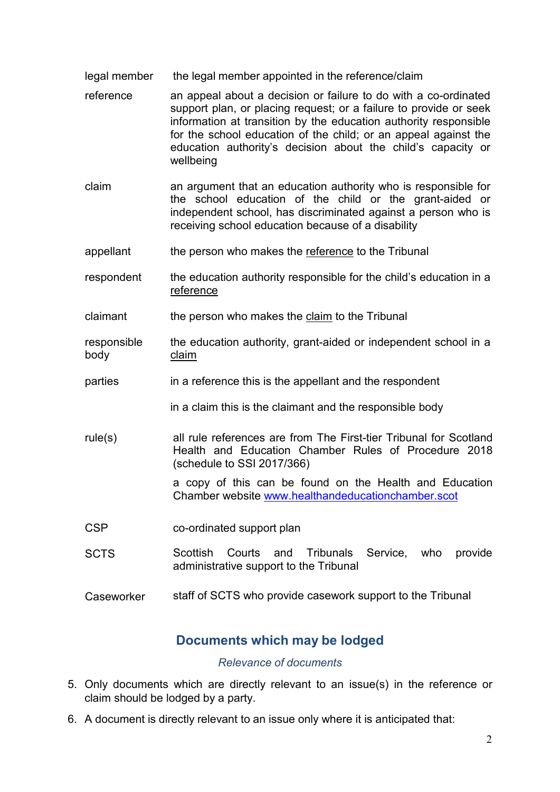- legal member the legal member appointed in the reference/claim
- reference an appeal about a decision or failure to do with a co-ordinated support plan, or placing request; or a failure to provide or seek information at transition by the education authority responsible for the school education of the child; or an appeal against the education authority's decision about the child's capacity or wellbeing
- claim an argument that an education authority who is responsible for the school education of the child or the grant-aided or independent school, has discriminated against a person who is receiving school education because of a disability
- appellant the person who makes the reference to the Tribunal
- respondent the education authority responsible for the child's education in a reference
- claimant the person who makes the claim to the Tribunal
- responsible body the education authority, grant-aided or independent school in a claim
- parties in a reference this is the appellant and the respondent
	- in a claim this is the claimant and the responsible body
- rule(s) all rule references are from The First-tier Tribunal for Scotland Health and Education Chamber Rules of Procedure 2018 (schedule to SSI 2017/366)

a copy of this can be found on the Health and Education Chamber website [www.healthandeducationchamber.scot](http://www.healthandeducationchamber.scot/)

- CSP co-ordinated support plan
- SCTS Scottish Courts and Tribunals Service, who provide administrative support to the Tribunal
- Caseworker staff of SCTS who provide casework support to the Tribunal

#### **Documents which may be lodged**

#### *Relevance of documents*

- 5. Only documents which are directly relevant to an issue(s) in the reference or claim should be lodged by a party.
- 6. A document is directly relevant to an issue only where it is anticipated that: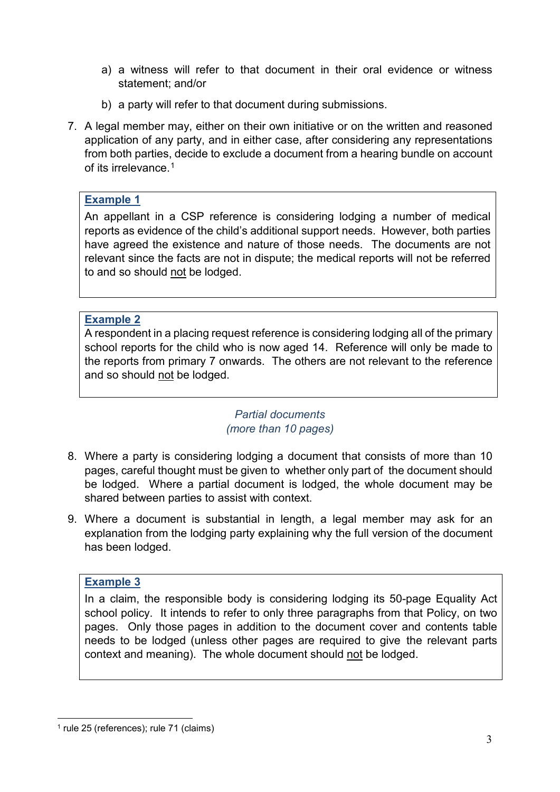- a) a witness will refer to that document in their oral evidence or witness statement; and/or
- b) a party will refer to that document during submissions.
- 7. A legal member may, either on their own initiative or on the written and reasoned application of any party, and in either case, after considering any representations from both parties, decide to exclude a document from a hearing bundle on account of its irrelevance. [1](#page-2-0)

#### **Example 1**

An appellant in a CSP reference is considering lodging a number of medical reports as evidence of the child's additional support needs. However, both parties have agreed the existence and nature of those needs. The documents are not relevant since the facts are not in dispute; the medical reports will not be referred to and so should not be lodged.

#### **Example 2**

A respondent in a placing request reference is considering lodging all of the primary school reports for the child who is now aged 14. Reference will only be made to the reports from primary 7 onwards. The others are not relevant to the reference and so should not be lodged.

#### *Partial documents (more than 10 pages)*

- 8. Where a party is considering lodging a document that consists of more than 10 pages, careful thought must be given to whether only part of the document should be lodged. Where a partial document is lodged, the whole document may be shared between parties to assist with context.
- 9. Where a document is substantial in length, a legal member may ask for an explanation from the lodging party explaining why the full version of the document has been lodged.

#### **Example 3**

In a claim, the responsible body is considering lodging its 50-page Equality Act school policy. It intends to refer to only three paragraphs from that Policy, on two pages. Only those pages in addition to the document cover and contents table needs to be lodged (unless other pages are required to give the relevant parts context and meaning). The whole document should not be lodged.

<span id="page-2-0"></span> <sup>1</sup> rule <sup>25</sup> (references); rule <sup>71</sup> (claims)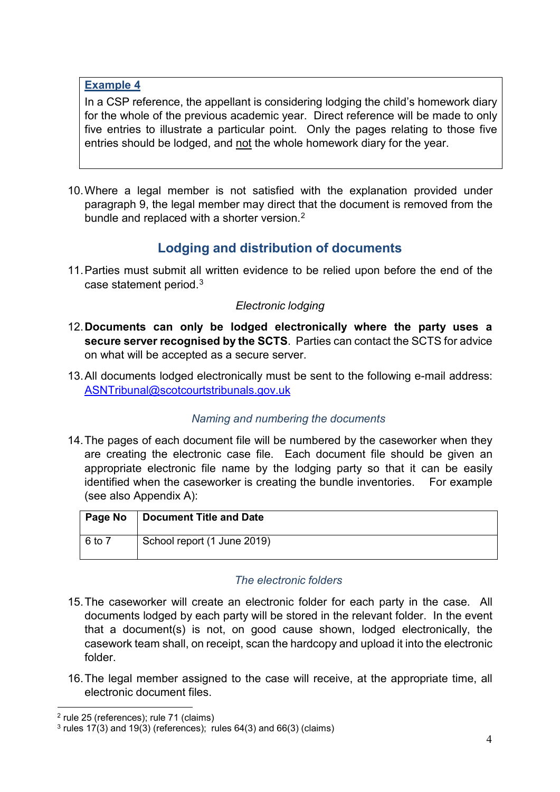#### **Example 4**

In a CSP reference, the appellant is considering lodging the child's homework diary for the whole of the previous academic year. Direct reference will be made to only five entries to illustrate a particular point. Only the pages relating to those five entries should be lodged, and not the whole homework diary for the year.

10.Where a legal member is not satisfied with the explanation provided under paragraph 9, the legal member may direct that the document is removed from the bundle and replaced with a shorter version. [2](#page-3-0)

## **Lodging and distribution of documents**

11.Parties must submit all written evidence to be relied upon before the end of the case statement period. $3$ 

#### *Electronic lodging*

- 12.**Documents can only be lodged electronically where the party uses a secure server recognised by the SCTS**. Parties can contact the SCTS for advice on what will be accepted as a secure server.
- 13.All documents lodged electronically must be sent to the following e-mail address: [ASNTribunal@scotcourtstribunals.gov.uk](mailto:ASNTribunal@scotcourtstribunals.gov.uk)

#### *Naming and numbering the documents*

14.The pages of each document file will be numbered by the caseworker when they are creating the electronic case file. Each document file should be given an appropriate electronic file name by the lodging party so that it can be easily identified when the caseworker is creating the bundle inventories. For example (see also Appendix A):

| Page No | <b>Document Title and Date</b> |
|---------|--------------------------------|
| 6 to 7  | School report (1 June 2019)    |

#### *The electronic folders*

- 15.The caseworker will create an electronic folder for each party in the case. All documents lodged by each party will be stored in the relevant folder. In the event that a document(s) is not, on good cause shown, lodged electronically, the casework team shall, on receipt, scan the hardcopy and upload it into the electronic folder.
- 16.The legal member assigned to the case will receive, at the appropriate time, all electronic document files.

<span id="page-3-0"></span> <sup>2</sup> rule <sup>25</sup> (references); rule <sup>71</sup> (claims)

<span id="page-3-1"></span> $3$  rules 17(3) and 19(3) (references); rules 64(3) and 66(3) (claims)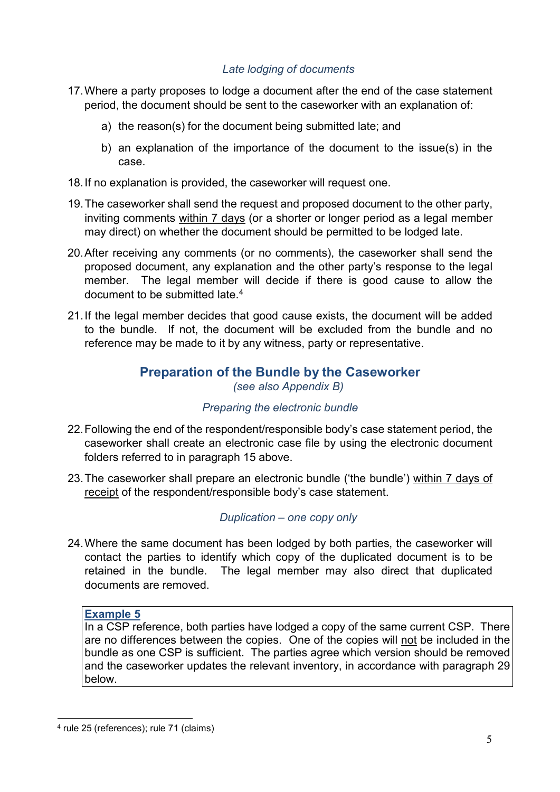#### *Late lodging of documents*

- 17.Where a party proposes to lodge a document after the end of the case statement period, the document should be sent to the caseworker with an explanation of:
	- a) the reason(s) for the document being submitted late; and
	- b) an explanation of the importance of the document to the issue(s) in the case.
- 18.If no explanation is provided, the caseworker will request one.
- 19.The caseworker shall send the request and proposed document to the other party, inviting comments within 7 days (or a shorter or longer period as a legal member may direct) on whether the document should be permitted to be lodged late.
- 20.After receiving any comments (or no comments), the caseworker shall send the proposed document, any explanation and the other party's response to the legal member. The legal member will decide if there is good cause to allow the document to be submitted late[.4](#page-4-0)
- 21.If the legal member decides that good cause exists, the document will be added to the bundle. If not, the document will be excluded from the bundle and no reference may be made to it by any witness, party or representative.

#### **Preparation of the Bundle by the Caseworker** *(see also Appendix B)*

#### *Preparing the electronic bundle*

- 22.Following the end of the respondent/responsible body's case statement period, the caseworker shall create an electronic case file by using the electronic document folders referred to in paragraph 15 above.
- 23.The caseworker shall prepare an electronic bundle ('the bundle') within 7 days of receipt of the respondent/responsible body's case statement.

#### *Duplication – one copy only*

24.Where the same document has been lodged by both parties, the caseworker will contact the parties to identify which copy of the duplicated document is to be retained in the bundle. The legal member may also direct that duplicated documents are removed.

#### **Example 5**

In a CSP reference, both parties have lodged a copy of the same current CSP. There are no differences between the copies. One of the copies will not be included in the bundle as one CSP is sufficient. The parties agree which version should be removed and the caseworker updates the relevant inventory, in accordance with paragraph 29 below.

<span id="page-4-0"></span> <sup>4</sup> rule <sup>25</sup> (references); rule <sup>71</sup> (claims)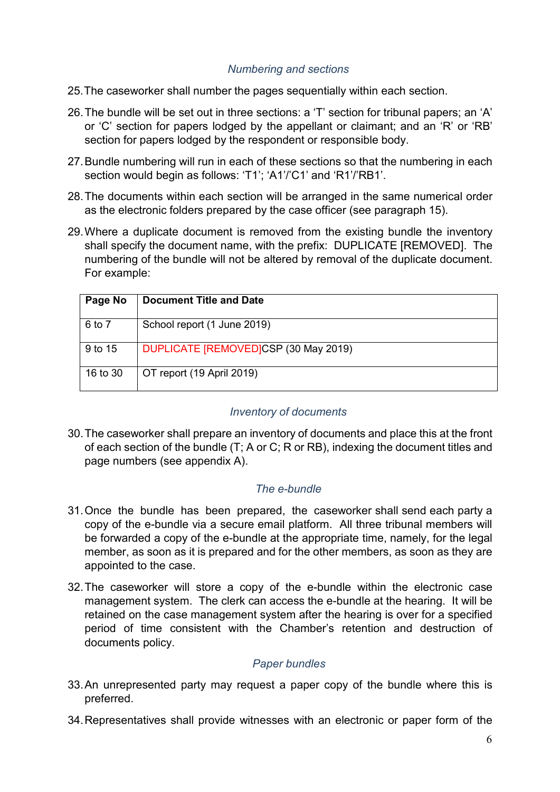#### *Numbering and sections*

- 25.The caseworker shall number the pages sequentially within each section.
- 26.The bundle will be set out in three sections: a 'T' section for tribunal papers; an 'A' or 'C' section for papers lodged by the appellant or claimant; and an 'R' or 'RB' section for papers lodged by the respondent or responsible body.
- 27.Bundle numbering will run in each of these sections so that the numbering in each section would begin as follows: 'T1'; 'A1'/'C1' and 'R1'/'RB1'.
- 28.The documents within each section will be arranged in the same numerical order as the electronic folders prepared by the case officer (see paragraph 15).
- 29.Where a duplicate document is removed from the existing bundle the inventory shall specify the document name, with the prefix: DUPLICATE [REMOVED]. The numbering of the bundle will not be altered by removal of the duplicate document. For example:

| Page No  | <b>Document Title and Date</b>       |
|----------|--------------------------------------|
| 6 to 7   | School report (1 June 2019)          |
| 9 to 15  | DUPLICATE [REMOVED]CSP (30 May 2019) |
| 16 to 30 | OT report (19 April 2019)            |

#### *Inventory of documents*

30.The caseworker shall prepare an inventory of documents and place this at the front of each section of the bundle (T; A or C; R or RB), indexing the document titles and page numbers (see appendix A).

#### *The e-bundle*

- 31.Once the bundle has been prepared, the caseworker shall send each party a copy of the e-bundle via a secure email platform. All three tribunal members will be forwarded a copy of the e-bundle at the appropriate time, namely, for the legal member, as soon as it is prepared and for the other members, as soon as they are appointed to the case.
- 32.The caseworker will store a copy of the e-bundle within the electronic case management system. The clerk can access the e-bundle at the hearing. It will be retained on the case management system after the hearing is over for a specified period of time consistent with the Chamber's retention and destruction of documents policy.

#### *Paper bundles*

- 33.An unrepresented party may request a paper copy of the bundle where this is preferred.
- 34.Representatives shall provide witnesses with an electronic or paper form of the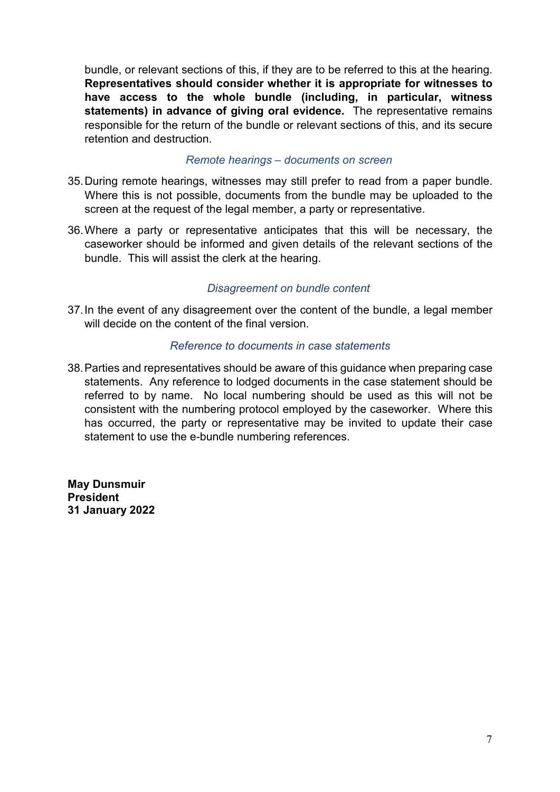bundle, or relevant sections of this, if they are to be referred to this at the hearing. **Representatives should consider whether it is appropriate for witnesses to have access to the whole bundle (including, in particular, witness statements) in advance of giving oral evidence.** The representative remains responsible for the return of the bundle or relevant sections of this, and its secure retention and destruction.

#### *Remote hearings – documents on screen*

- 35.During remote hearings, witnesses may still prefer to read from a paper bundle. Where this is not possible, documents from the bundle may be uploaded to the screen at the request of the legal member, a party or representative.
- 36.Where a party or representative anticipates that this will be necessary, the caseworker should be informed and given details of the relevant sections of the bundle. This will assist the clerk at the hearing.

#### *Disagreement on bundle content*

37.In the event of any disagreement over the content of the bundle, a legal member will decide on the content of the final version.

#### *Reference to documents in case statements*

38.Parties and representatives should be aware of this guidance when preparing case statements. Any reference to lodged documents in the case statement should be referred to by name. No local numbering should be used as this will not be consistent with the numbering protocol employed by the caseworker. Where this has occurred, the party or representative may be invited to update their case statement to use the e-bundle numbering references.

**May Dunsmuir President 31 January 2022**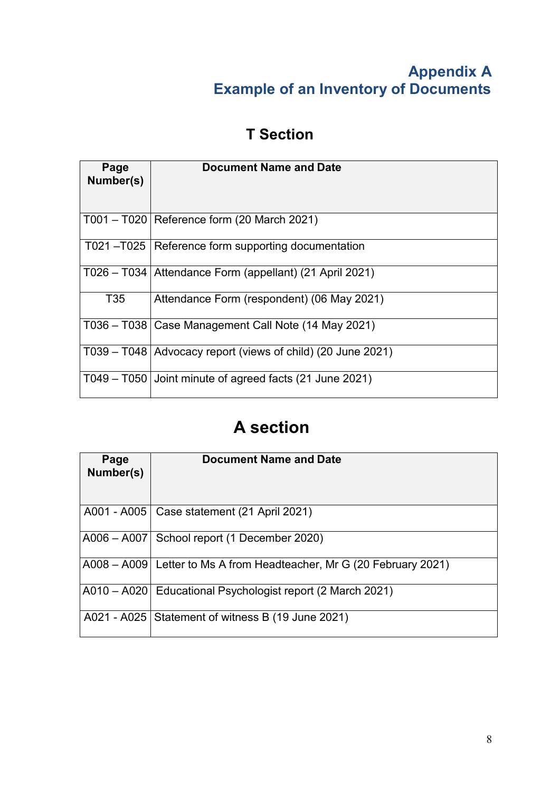## **Appendix A Example of an Inventory of Documents**

# **T Section**

| Page<br>Number(s) | <b>Document Name and Date</b>                                 |
|-------------------|---------------------------------------------------------------|
|                   | T001 - T020   Reference form (20 March 2021)                  |
|                   | T021-T025   Reference form supporting documentation           |
|                   | T026 - T034   Attendance Form (appellant) (21 April 2021)     |
| T <sub>35</sub>   | Attendance Form (respondent) (06 May 2021)                    |
|                   | T036 – T038   Case Management Call Note (14 May 2021)         |
|                   | T039 – T048   Advocacy report (views of child) (20 June 2021) |
|                   | $T049 - T050$ Joint minute of agreed facts (21 June 2021)     |

# **A section**

| Page<br>Number(s) | <b>Document Name and Date</b>                                        |
|-------------------|----------------------------------------------------------------------|
|                   | A001 - A005   Case statement (21 April 2021)                         |
|                   | A006 - A007   School report (1 December 2020)                        |
|                   | A008 – A009 Letter to Ms A from Headteacher, Mr G (20 February 2021) |
|                   | A010 – A020   Educational Psychologist report (2 March 2021)         |
|                   | A021 - A025   Statement of witness B (19 June 2021)                  |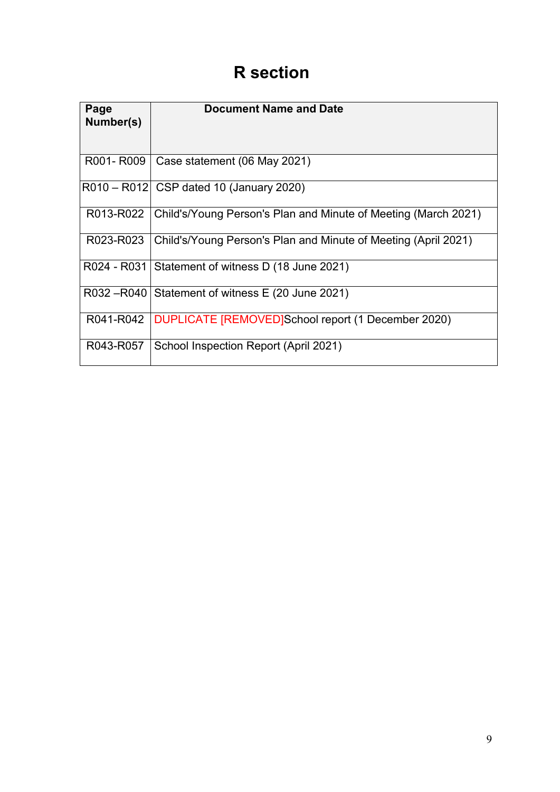# **R section**

| Page<br>Number(s) | <b>Document Name and Date</b>                                  |
|-------------------|----------------------------------------------------------------|
| R001-R009         | Case statement (06 May 2021)                                   |
|                   | R010 - R012 CSP dated 10 (January 2020)                        |
| R013-R022         | Child's/Young Person's Plan and Minute of Meeting (March 2021) |
| R023-R023         | Child's/Young Person's Plan and Minute of Meeting (April 2021) |
| R024 - R031       | Statement of witness D (18 June 2021)                          |
| R032-R040         | Statement of witness E (20 June 2021)                          |
| R041-R042         | DUPLICATE [REMOVED]School report (1 December 2020)             |
| R043-R057         | School Inspection Report (April 2021)                          |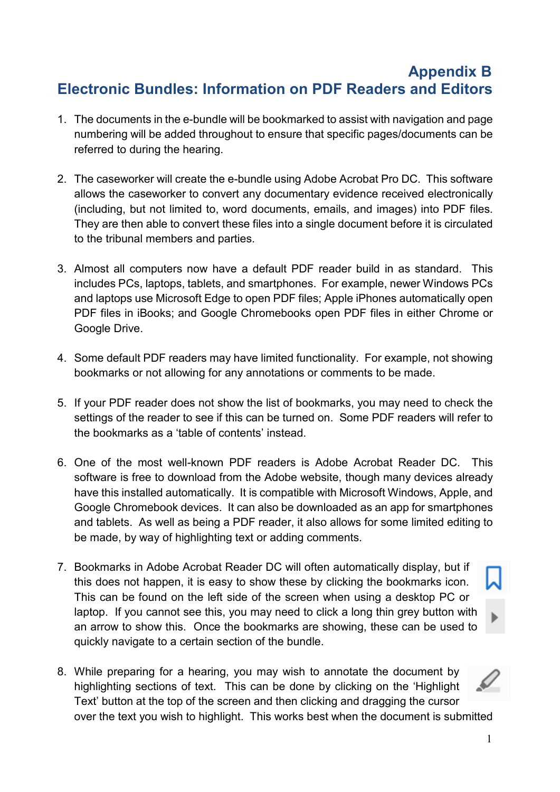## **Appendix B Electronic Bundles: Information on PDF Readers and Editors**

- 1. The documents in the e-bundle will be bookmarked to assist with navigation and page numbering will be added throughout to ensure that specific pages/documents can be referred to during the hearing.
- 2. The caseworker will create the e-bundle using Adobe Acrobat Pro DC. This software allows the caseworker to convert any documentary evidence received electronically (including, but not limited to, word documents, emails, and images) into PDF files. They are then able to convert these files into a single document before it is circulated to the tribunal members and parties.
- 3. Almost all computers now have a default PDF reader build in as standard. This includes PCs, laptops, tablets, and smartphones. For example, newer Windows PCs and laptops use Microsoft Edge to open PDF files; Apple iPhones automatically open PDF files in iBooks; and Google Chromebooks open PDF files in either Chrome or Google Drive.
- 4. Some default PDF readers may have limited functionality. For example, not showing bookmarks or not allowing for any annotations or comments to be made.
- 5. If your PDF reader does not show the list of bookmarks, you may need to check the settings of the reader to see if this can be turned on. Some PDF readers will refer to the bookmarks as a 'table of contents' instead.
- 6. One of the most well-known PDF readers is Adobe Acrobat Reader DC. This software is free to download from the Adobe website, though many devices already have this installed automatically. It is compatible with Microsoft Windows, Apple, and Google Chromebook devices. It can also be downloaded as an app for smartphones and tablets. As well as being a PDF reader, it also allows for some limited editing to be made, by way of highlighting text or adding comments.
- 7. Bookmarks in Adobe Acrobat Reader DC will often automatically display, but if this does not happen, it is easy to show these by clicking the bookmarks icon. This can be found on the left side of the screen when using a desktop PC or laptop. If you cannot see this, you may need to click a long thin grey button with an arrow to show this. Once the bookmarks are showing, these can be used to quickly navigate to a certain section of the bundle.
- 8. While preparing for a hearing, you may wish to annotate the document by highlighting sections of text. This can be done by clicking on the 'Highlight Text' button at the top of the screen and then clicking and dragging the cursor over the text you wish to highlight. This works best when the document is submitted